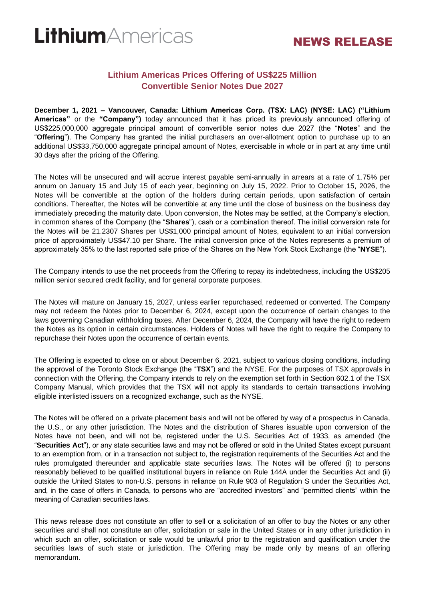# LithiumAmericas

# NEWS RELEASE

## **Lithium Americas Prices Offering of US\$225 Million Convertible Senior Notes Due 2027**

**December 1, 2021 – Vancouver, Canada: Lithium Americas Corp. (TSX: LAC) (NYSE: LAC) ("Lithium Americas"** or the **"Company")** today announced that it has priced its previously announced offering of US\$225,000,000 aggregate principal amount of convertible senior notes due 2027 (the "**Notes**" and the "**Offering**"). The Company has granted the initial purchasers an over-allotment option to purchase up to an additional US\$33,750,000 aggregate principal amount of Notes, exercisable in whole or in part at any time until 30 days after the pricing of the Offering.

The Notes will be unsecured and will accrue interest payable semi-annually in arrears at a rate of 1.75% per annum on January 15 and July 15 of each year, beginning on July 15, 2022. Prior to October 15, 2026, the Notes will be convertible at the option of the holders during certain periods, upon satisfaction of certain conditions. Thereafter, the Notes will be convertible at any time until the close of business on the business day immediately preceding the maturity date. Upon conversion, the Notes may be settled, at the Company's election, in common shares of the Company (the "**Shares**"), cash or a combination thereof. The initial conversion rate for the Notes will be 21.2307 Shares per US\$1,000 principal amount of Notes, equivalent to an initial conversion price of approximately US\$47.10 per Share. The initial conversion price of the Notes represents a premium of approximately 35% to the last reported sale price of the Shares on the New York Stock Exchange (the "**NYSE**").

The Company intends to use the net proceeds from the Offering to repay its indebtedness, including the US\$205 million senior secured credit facility, and for general corporate purposes.

The Notes will mature on January 15, 2027, unless earlier repurchased, redeemed or converted. The Company may not redeem the Notes prior to December 6, 2024, except upon the occurrence of certain changes to the laws governing Canadian withholding taxes. After December 6, 2024, the Company will have the right to redeem the Notes as its option in certain circumstances. Holders of Notes will have the right to require the Company to repurchase their Notes upon the occurrence of certain events.

The Offering is expected to close on or about December 6, 2021, subject to various closing conditions, including the approval of the Toronto Stock Exchange (the "**TSX**") and the NYSE. For the purposes of TSX approvals in connection with the Offering, the Company intends to rely on the exemption set forth in Section 602.1 of the TSX Company Manual, which provides that the TSX will not apply its standards to certain transactions involving eligible interlisted issuers on a recognized exchange, such as the NYSE.

The Notes will be offered on a private placement basis and will not be offered by way of a prospectus in Canada, the U.S., or any other jurisdiction. The Notes and the distribution of Shares issuable upon conversion of the Notes have not been, and will not be, registered under the U.S. Securities Act of 1933, as amended (the "**Securities Act**"), or any state securities laws and may not be offered or sold in the United States except pursuant to an exemption from, or in a transaction not subject to, the registration requirements of the Securities Act and the rules promulgated thereunder and applicable state securities laws. The Notes will be offered (i) to persons reasonably believed to be qualified institutional buyers in reliance on Rule 144A under the Securities Act and (ii) outside the United States to non-U.S. persons in reliance on Rule 903 of Regulation S under the Securities Act, and, in the case of offers in Canada, to persons who are "accredited investors" and "permitted clients" within the meaning of Canadian securities laws.

This news release does not constitute an offer to sell or a solicitation of an offer to buy the Notes or any other securities and shall not constitute an offer, solicitation or sale in the United States or in any other jurisdiction in which such an offer, solicitation or sale would be unlawful prior to the registration and qualification under the securities laws of such state or jurisdiction. The Offering may be made only by means of an offering memorandum.